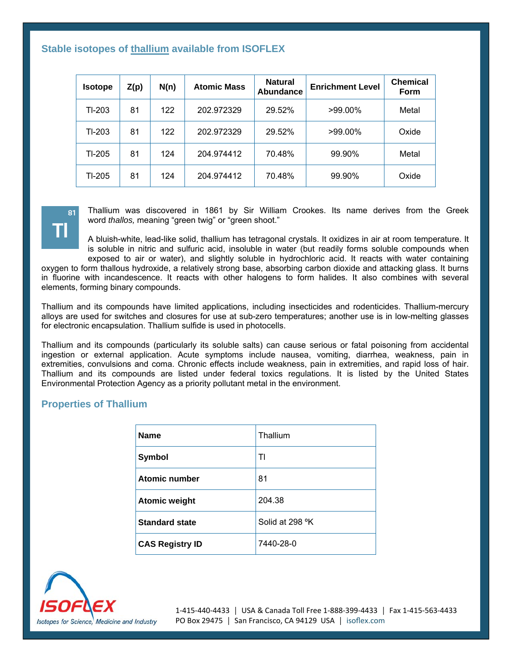## **Stable isotopes of thallium available from ISOFLEX**

| <b>Isotope</b> | Z(p) | N(n) | <b>Atomic Mass</b> | <b>Natural</b><br>Abundance | <b>Enrichment Level</b> | <b>Chemical</b><br><b>Form</b> |
|----------------|------|------|--------------------|-----------------------------|-------------------------|--------------------------------|
| TI-203         | 81   | 122  | 202.972329         | 29.52%                      | >99.00%                 | Metal                          |
| TI-203         | 81   | 122  | 202.972329         | 29.52%                      | >99.00%                 | Oxide                          |
| TI-205         | 81   | 124  | 204.974412         | 70.48%                      | 99.90%                  | Metal                          |
| TI-205         | 81   | 124  | 204.974412         | 70.48%                      | 99.90%                  | Oxide                          |



Thallium was discovered in 1861 by Sir William Crookes. Its name derives from the Greek word *thallos,* meaning "green twig" or "green shoot."

A bluish-white, lead-like solid, thallium has tetragonal crystals. It oxidizes in air at room temperature. It is soluble in nitric and sulfuric acid, insoluble in water (but readily forms soluble compounds when exposed to air or water), and slightly soluble in hydrochloric acid. It reacts with water containing oxygen to form thallous hydroxide, a relatively strong base, absorbing carbon dioxide and attacking glass. It burns

in fluorine with incandescence. It reacts with other halogens to form halides. It also combines with several elements, forming binary compounds.

Thallium and its compounds have limited applications, including insecticides and rodenticides. Thallium-mercury alloys are used for switches and closures for use at sub-zero temperatures; another use is in low-melting glasses for electronic encapsulation. Thallium sulfide is used in photocells.

Thallium and its compounds (particularly its soluble salts) can cause serious or fatal poisoning from accidental ingestion or external application. Acute symptoms include nausea, vomiting, diarrhea, weakness, pain in extremities, convulsions and coma. Chronic effects include weakness, pain in extremities, and rapid loss of hair. Thallium and its compounds are listed under federal toxics regulations. It is listed by the United States Environmental Protection Agency as a priority pollutant metal in the environment.

## **Properties of Thallium**

| <b>Name</b>            | Thallium        |  |
|------------------------|-----------------|--|
| Symbol                 | TI              |  |
| <b>Atomic number</b>   | 81              |  |
| <b>Atomic weight</b>   | 204.38          |  |
| <b>Standard state</b>  | Solid at 298 °K |  |
| <b>CAS Registry ID</b> | 7440-28-0       |  |